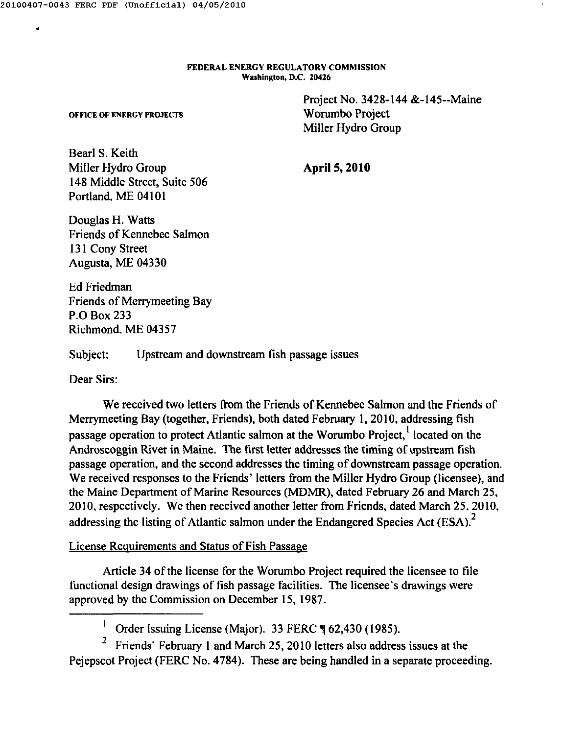•

FEDERAL ENERGY REGULATORY COMMISSION Washington. D.C. 20426

> Project No. 3428-144 &-145--Maine Worumbo Project Miller Hydro Group

OFFICE Of' ENERGY PROJECTS

Bearl S. Keith Miller Hydro Group 148 Middle Street, Suite 506 Portland. ME 04101

**April S, 2010**

Douglas H. Watts Friends of Kennebec Salmon 131 Cony Street Augusta, ME 04330

Ed Friedman Friends of Merrymeeting Bay P.O Box 233 Richmond, ME 04357

Subject: Upstream and downstream fish passage issues

Dear Sirs:

We received two letters from the Friends of Kennebec Salmon and the Friends of Merrymeeting Bay (together, Friends), both dated February 1,2010, addressing fish passage operation to protect Atlantic salmon at the Worumbo Project,<sup>1</sup> located on the Androscoggin River in Maine. The first letter addresses the timing of upstream fish passage operation, and the second addresses the timing of downstream passage operation. We received responses to the Friends' letters from the Miller Hydro Group (licensee), and the Maine Department of Marine Resources (MDMR), dated February 26 and March 25, 20 I0, respectively. We then received another letter from Friends, dated March 25, 2010, addressing the listing of Atlantic salmon under the Endangered Species Act  $(ESA).$ <sup>2</sup>

# License Requirements and Status of Fish Passage

Article 34 of the license for the Worumbo Project required the licensee to tile functional design drawings of fish passage facilities. The licensee's drawings were approved by the Commission on December 15, 1987.

 $\frac{1}{1}$  Order Issuing License (Major). 33 FERC  $\P$  62,430 (1985).

<sup>2</sup> Friends' February 1 and March 25, 2010 letters also address issues at the Pejepscot Project (FERC No. 4784). These are being handled in a separate proceeding.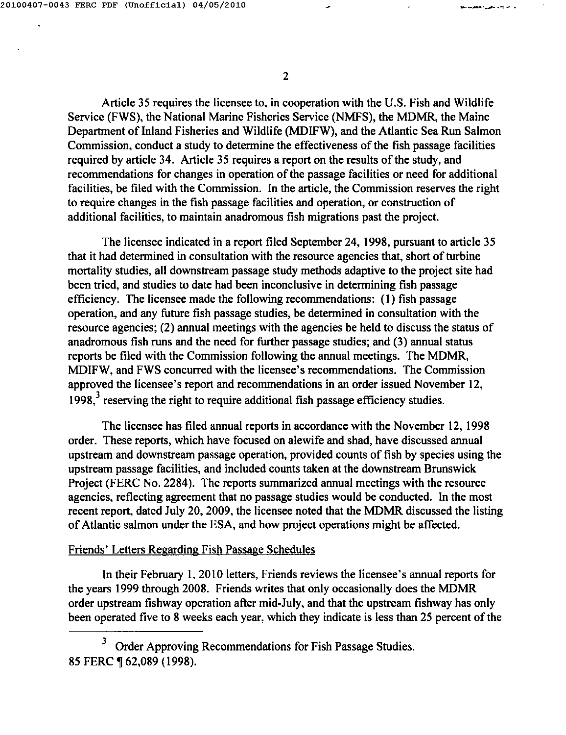Article 35 requires the licensee to, in cooperation with the U.S. Fish and Wildlife Service (FWS), the National Marine Fisheries Service (NMFS), the MDMR, the Maine Department of Inland Fisheries and Wildlife (MDIFW), and the Atlantic Sea Run Salmon Commission, conduct a study to determine the effectiveness of the fish passage facilities required by article 34. Article 35 requires a report on the results of the study, and recommendations for changes in operation of the passage facilities or need for additional facilities, be filed with the Commission. In the article, the Commission reserves the right to require changes in the fish passage facilities and operation, or construction of additional facilities, to maintain anadromous fish migrations past the project.

The licensee indicated in a report filed September 24, 1998, pursuant to article 35 that it had determined in consultation with the resource agencies that, short of turbine mortality studies, all downstream passage study methods adaptive to the project site had been tried, and studies to date had been inconclusive in determining fish passage efficiency. The licensee made the following recommendations: (I) fish passage operation, and any future fish passage studies, be determined in consultation with the resource agencies; (2) annual meetings with the agencies be held to discuss the status of anadromous fish runs and the need for further passage studies; and (3) annual status reports be filed with the Commission following the annual meetings. The MDMR, MDIFW, and FWS concurred with the licensee's recommendations. The Commission approved the licensee's report and recommendations in an order issued November 12, 1998, $3$  reserving the right to require additional fish passage efficiency studies

The licensee has filed annual reports in accordance with the November 12, 1998 order. These reports, which have focused on alewife and shad, have discussed annual upstream and downstream passage operation, provided counts of fish by species using the upstream passage facilities, and included counts taken at the downstream Brunswick Project (FERC No. 2284). The reports summarized annual meetings with the resource agencies, reflecting agreement that no passage studies would be conducted. In the most recent report, dated July 20, 2009, the licensee noted that the MDMR discussed the listing of Atlantic salmon under the ESA, and how project operations might be affected.

### Friends' Letters Regarding Fish Passage Schedules

In their February 1, 2010 letters, Friends reviews the licensee's annual reports for the years 1999 through 2008. Friends writes that only occasionally does the MDMR order upstream fishway operation after mid-July, and that the upstream fishway has only been operated five to 8 weeks each year, which they indicate is less than 25 percent of the

<sup>3</sup> Order Approving Recommendations for Fish Passage Studies. 85 FERC ¶ 62,089 (1998).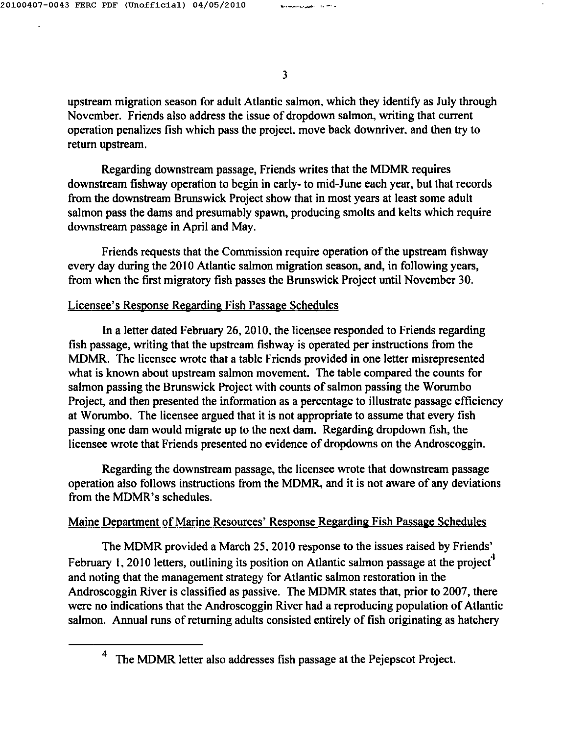upstream migration season for adult Atlantic salmon, which they identify as July through Novcmber. Friends also address the issue of dropdown salmon, writing that current operation penalizes fish which pass the project. move back downriver. and then try to return upstream.

Regarding downstream passage, Friends writes that the MDMR requires downstream fishway operation to begin in early- to mid-June each year, but that records from the downstream Brunswick Project show that in most years at least some adult salmon pass the dams and presumably spawn, producing smolts and kelts which rcquire downstream passage in April and May.

Friends requests that the Commission require operation of the upstream fishway every day during the 2010 Atlantic salmon migration season, and, in following years, from when the first migratory fish passes the Brunswick Project until November 30.

### Licensee's Response Regarding Fish Passage Schedules

In a letter dated February 26, 2010, the licensee responded to Friends regarding fish passage, writing that the upstream fishway is operated per instructions from the MDMR. The licensee wrote that a table Friends provided in one letter misrepresented what is known about upstream salmon movement. The table compared the counts for salmon passing the Brunswick Project with counts of salmon passing the Worumbo Project, and then presented the information as a percentage to illustrate passage efficiency at Worumbo. The licensee argued that it is not appropriate to assume that every fish passing one dam would migrate up to the next dam. Regarding dropdown fish, the licensee wrote that Friends presented no evidence of dropdowns on the Androscoggin.

Regarding the downstream passage, the licensee wrote that downstream passage operation also follows instructions from the MDMR, and it is not aware of any deviations from the MDMR's schedules.

## Maine Department of Marine Resources' Response Regarding Fish Passage Schedules

The MDMR provided a March 25, 2010 response to the issues raised by Friends' February 1, 2010 letters, outlining its position on Atlantic salmon passage at the project<sup>4</sup> and noting that the management strategy for Atlantic salmon restoration in the Androscoggin River is classified as passive. The MDMR states that, prior to 2007, there were no indications that the Androscoggin River had a reproducing population of Atlantic salmon. Annual runs of returning adults consisted entirely of fish originating as hatchery

The MDMR letter also addresses fish passage at the Pejepscot Project.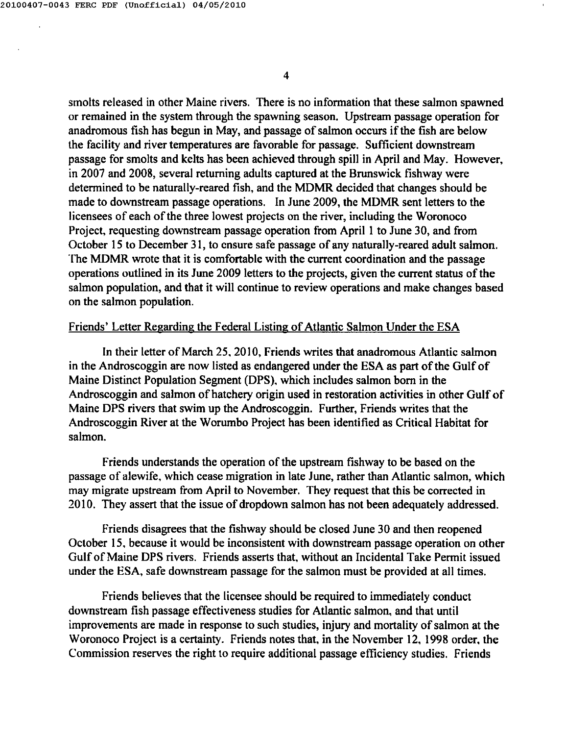smolts released in other Maine rivers. There is no information that these salmon spawned or remained in the system through the spawning season. Upstream passage operation for anadromous tish has begun in May, and passage of salmon occurs if the fish are below the facility and river temperatures are favorable for passage. Sufficient downstream passage for smolts and kelts has been achieved through spill in April and May. However, in 2007 and 2008, several returning adults captured at the Brunswick fishway were determined to be naturally-reared fish, and the MDMR decided that changes should be made to downstream passage operations. In June 2009, the MDMR sent letters to the licensees of each of the three lowest projects on the river, including the Woronoco Project, requesting downstream passage operation from April I to June 30, and from October IS to December 31, to ensure safe passage of any naturally-reared adult salmon. The MDMR wrote that it is comfortable with the current coordination and the passage operations outlined in its June 2009 letters to the projects, given the current status of the salmon population, and that it will continue to review operations and make changes based on the salmon population.

### Friends' Letter Regarding the Federal Listing of Atlantic Salmon Under the ESA

In their letter of March 25. 20 I0, Friends writes that anadromous Atlantic salmon in the Androscoggin are now listed as endangered under the ESA as part of the Gulf of Maine Distinct Population Segment (DPS). which includes salmon born in the Androscoggin and salmon of hatchery origin used in restoration activities in other Gulf of Maine DPS rivers that swim up the Androscoggin. Further, Friends writes that the Androscoggin River at the Worumbo Project has been identified as Critical Habitat for salmon.

Friends understands the operation of the upstream fishway to be based on the passage of alewife, which cease migration in late June, rather than Atlantic salmon, which may migrate upstream from April to November. They request that this be corrected in 20 IO. They assert that the issue of dropdown salmon has not been adequately addressed.

Friends disagrees that the fishway should be closed June 30 and then reopened October IS. because it would be inconsistent with downstream passage operation on other Gulf of Maine DPS rivers. Friends asserts that, without an Incidental Take Permit issued under the ESA, safe downstream passage for the salmon must be provided at all times.

Friends believes that the licensee should be required to immediately conduct downstream fish passage effectiveness studies for Atlantic salmon, and that until improvements are made in response to such studies, injury and mortality of salmon at the Woronoco Project is a certainty. Friends notes that. in the November 12. 1998 order. the Commission reserves the right to require additional passage efficiency studies. Friends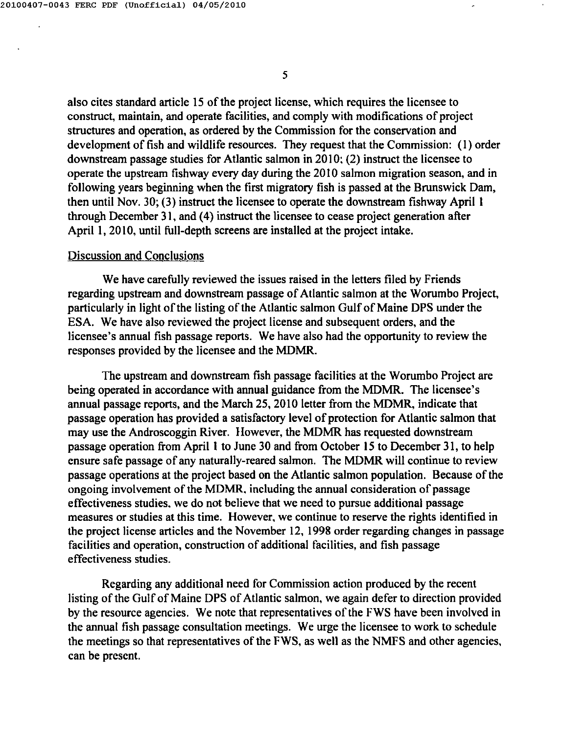also cites standard article 15 of the project license, which requires the licensee to construct, maintain, and operate facilities, and comply with modifications of project structures and operation, as ordered by the Commission for the conservation and development of fish and wildlife resources. They request that the Commission: (I) order downstream passage studies for Atlantic salmon in 2010: (2) instruct the licensee to operate the upstream fishway every day during the 20 I0 salmon migration season, and in following years beginning when the first migratory fish is passed at the Brunswick Dam, then until Nov. 30; (3) instruct the licensee to operate the downstream fishway April I through December 31, and (4) instruct the licensee to cease project generation after April 1, 2010, until full-depth screens are installed at the project intake.

### Discussion and Conclusions

We have carefully reviewed the issues raised in the letters filed by Friends regarding upstream and downstream passage of Atlantic salmon at the Worumbo Project, particularly in light of the listing of the Atlantic salmon Gulf of Maine DPS under the ESA. We have also reviewed the project license and subsequent orders, and the licensee's annual fish passage reports. We have also had the opportunity to review the responses provided by the licensee and the MDMR.

The upstream and downstream fish passage facilities at the Worumbo Project are being operated in accordance with annual guidance from the MDMR. The licensee's annual passage reports, and the March 25, 2010 letter from the MDMR, indicate that passage operation has provided a satisfactory level of protection for Atlantic salmon that may use the Androscoggin River. However, the MDMR has requested downstream passage operation from April I to June 30 and from October 15 to December 31, to help ensure safe passage of any naturally-reared salmon. The MDMR will continue to review passage operations at the project based on the Atlantic salmon population. Because of the ongoing involvement of the MDMR. including the annual consideration of passage effectiveness studies. we do not believe that we need to pursue additional passage measures or studies at this time. However. we continue to reserve the rights identified in the project license articles and the November 12, 1998 order regarding changes in passage facilities and operation, construction of additional facilities, and fish passage effectiveness studies.

Regarding any additional need for Commission action produced by the recent listing of the Gulf of Maine DPS of Atlantic salmon, we again defer to direction provided by the resource agencies. We note that representatives of the FWS have been involved in the annual fish passage consultation meetings. We urge the licensee to work to schedule the meetings so that representatives of the FWS, as well as the NMFS and other agencies, can be present.